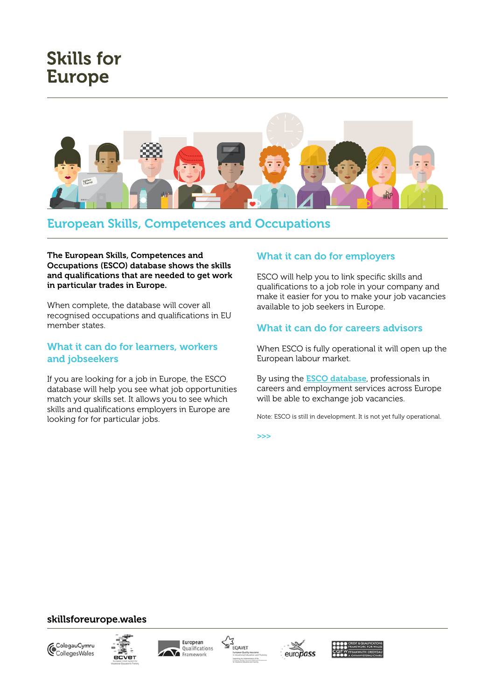# **Skills for Europe**



# European Skills, Competences and Occupations

#### The European Skills, Competences and Occupations (ESCO) database shows the skills and qualifications that are needed to get work in particular trades in Europe.

When complete, the database will cover all recognised occupations and qualifications in EU member states.

#### What it can do for learners, workers and jobseekers

If you are looking for a job in Europe, the ESCO database will help you see what job opportunities match your skills set. It allows you to see which skills and qualifications employers in Europe are looking for for particular jobs.

## What it can do for employers

ESCO will help you to link specific skills and qualifications to a job role in your company and make it easier for you to make your job vacancies available to job seekers in Europe.

## What it can do for careers advisors

When ESCO is fully operational it will open up the European labour market.

By using the **[ESCO database](https://ec.europa.eu/esco/portal/alphabeticalBrowser)**, professionals in careers and employment services across Europe will be able to exchange job vacancies.

Note: ESCO is still in development. It is not yet fully operational.

>>>

# skillsforeurope.wales